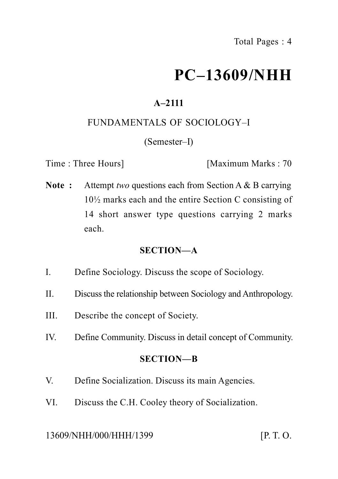# **PC–13609/NHH**

# **A–2111**

#### FUNDAMENTALS OF SOCIOLOGY–I

#### (Semester–I)

Time : Three Hours] [Maximum Marks : 70

**Note :** Attempt *two* questions each from Section A & B carrying 10½ marks each and the entire Section C consisting of 14 short answer type questions carrying 2 marks each.

#### **SECTION—A**

- I. Define Sociology. Discuss the scope of Sociology.
- II. Discuss the relationship between Sociology and Anthropology.
- III. Describe the concept of Society.
- IV. Define Community. Discuss in detail concept of Community.

#### **SECTION—B**

- V. Define Socialization. Discuss its main Agencies.
- VI. Discuss the C.H. Cooley theory of Socialization.

#### 13609/NHH/000/HHH/1399 [P. T. O.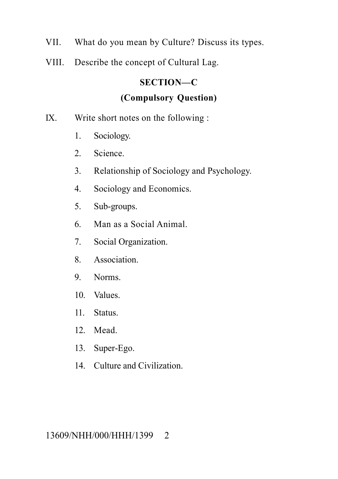- VII. What do you mean by Culture? Discuss its types.
- VIII. Describe the concept of Cultural Lag.

### **SECTION—C**

## **(Compulsory Question)**

- IX. Write short notes on the following :
	- 1. Sociology.
	- 2. Science.
	- 3. Relationship of Sociology and Psychology.
	- 4. Sociology and Economics.
	- 5. Sub-groups.
	- 6. Man as a Social Animal.
	- 7. Social Organization.
	- 8. Association.
	- 9. Norms.
	- 10. Values.
	- 11. Status.
	- 12. Mead.
	- 13. Super-Ego.
	- 14. Culture and Civilization.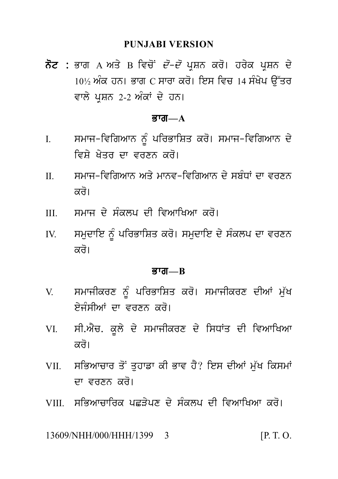#### **PUNJABI VERSION**

ਨੋਟ : ਭਾਗ A ਅਤੇ B ਵਿਚੋਂ *ਦੋ–ਦੋ* ਪਸ਼ਨ ਕਰੋ। ਹਰੇਕ ਪਸ਼ਨ ਦੇ  $10\%$  ਅੰਕ ਹਨ। ਭਾਗ C ਸਾਰਾ ਕਰੋ। ਇਸ ਵਿਚ 14 ਸੰਖੇਪ ਉੱਤਰ ਵਾਲੇ ਪੁਸ਼ਨ 2-2 ਅੰਕਾਂ ਦੇ ਹਨ।

#### ਭਾਗ $-\mathbf{A}$

- ਸਮਾਜ-ਵਿਗਿਆਨ ਨੂੰ ਪਰਿਭਾਸ਼ਿਤ ਕਰੋ। ਸਮਾਜ-ਵਿਗਿਆਨ ਦੇ  $\mathbf{I}$ ਵਿਸ਼ੇ ਖੇਤਰ ਦਾ ਵਰਣਨ ਕਰੋ।
- ਸਮਾਜ-ਵਿਗਿਆਨ ਅਤੇ ਮਾਨਵ-ਵਿਗਿਆਨ ਦੇ ਸਬੰਧਾਂ ਦਾ ਵਰਣਨ  $\Pi$ ਕਰੋ।
- ਸਮਾਜ ਦੇ ਸੰਕਲਪ ਦੀ ਵਿਆਖਿਆ ਕਰੋ।  $III$
- ਸਮਦਾਇ ਨੂੰ ਪਰਿਭਾਸ਼ਿਤ ਕਰੋ। ਸਮਦਾਇ ਦੇ ਸੰਕਲਪ ਦਾ ਵਰਣਨ  $IV.$ ਕਰੋ।

#### ਭਾਗ $-R$

- ਸਮਾਜੀਕਰਣ ਨੂੰ ਪਰਿਭਾਸ਼ਿਤ ਕਰੋ। ਸਮਾਜੀਕਰਣ ਦੀਆਂ ਮੁੱਖ  $\mathbf{V}$ ਏਜੰਸੀਆਂ ਦਾ ਵਰਣਨ ਕਰੋ।
- ਸੀ.ਐਚ. ਕੁਲੇ ਦੇ ਸਮਾਜੀਕਰਣ ਦੇ ਸਿਧਾਂਤ ਦੀ ਵਿਆਖਿਆ VI. ਕਰੋ।
- ਸਭਿਆਚਾਰ ਤੋਂ ਤਹਾਡਾ ਕੀ ਭਾਵ ਹੈ? ਇਸ ਦੀਆਂ ਮੱਖ ਕਿਸਮਾਂ VII. ਜਾ ਵਰਣਨ ਕਰੋ।
- VIII ਸਭਿਆਜਾਜਿਕ ਪਛਤੇਪਣ ਦੇ ਸੰਕਲਪ ਦੀ ਵਿਆਖਿਆ ਕੁਰੋ।

 $[P. T. O.$ 13609/NHH/000/HHH/1399 3